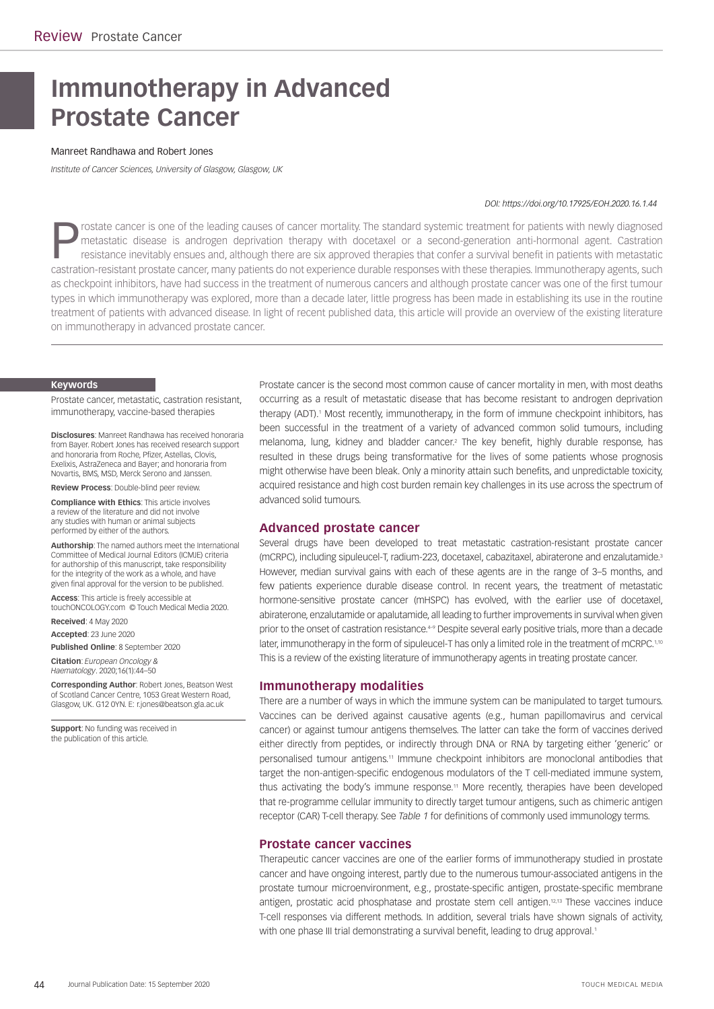# **Immunotherapy in Advanced Prostate Cancer**

#### Manreet Randhawa and Robert Jones

*Institute of Cancer Sciences, University of Glasgow, Glasgow, UK*

*DOI: https://doi.org/10.17925/EOH.2020.16.1.44* 

rostate cancer is one of the leading causes of cancer mortality. The standard systemic treatment for patients with newly diagnosed metastatic disease is androgen deprivation therapy with docetaxel or a second-generation anti-hormonal agent. Castration resistance inevitably ensues and, although there are six approved therapies that confer a survival benefit in patients with metastatic castration-resistant prostate cancer, many patients do not experience durable responses with these therapies. Immunotherapy agents, such as checkpoint inhibitors, have had success in the treatment of numerous cancers and although prostate cancer was one of the first tumour types in which immunotherapy was explored, more than a decade later, little progress has been made in establishing its use in the routine treatment of patients with advanced disease. In light of recent published data, this article will provide an overview of the existing literature on immunotherapy in advanced prostate cancer.

#### **Keywords**

Prostate cancer, metastatic, castration resistant, immunotherapy, vaccine-based therapies

**Disclosures**: Manreet Randhawa has received honoraria from Bayer. Robert Jones has received research support and honoraria from Roche, Pfizer, Astellas, Clovis, Exelixis, AstraZeneca and Bayer; and honoraria from Novartis, BMS, MSD, Merck Serono and Janssen.

**Review Process**: Double-blind peer review.

**Compliance with Ethics**: This article involves a review of the literature and did not involve any studies with human or animal subjects performed by either of the authors.

**Authorship**: The named authors meet the International Committee of Medical Journal Editors (ICMJE) criteria for authorship of this manuscript, take responsibility for the integrity of the work as a whole, and have given final approval for the version to be published.

**Access**: This article is freely accessible at touchONCOLOGY.com © Touch Medical Media 2020.

**Received**: 4 May 2020 **Accepted**: 23 June 2020

**Published Online**: 8 September 2020

**Citation**: *European Oncology & Haematology*. 2020;16(1):44–50

**Corresponding Author**: Robert Jones, Beatson West of Scotland Cancer Centre, 1053 Great Western Road, Glasgow, UK. G12 0YN. E: r.jones@beatson.gla.ac.uk

**Support**: No funding was received in the publication of this article.

Prostate cancer is the second most common cause of cancer mortality in men, with most deaths occurring as a result of metastatic disease that has become resistant to androgen deprivation therapy (ADT).<sup>1</sup> Most recently, immunotherapy, in the form of immune checkpoint inhibitors, has been successful in the treatment of a variety of advanced common solid tumours, including melanoma, lung, kidney and bladder cancer.2 The key benefit, highly durable response, has resulted in these drugs being transformative for the lives of some patients whose prognosis might otherwise have been bleak. Only a minority attain such benefits, and unpredictable toxicity, acquired resistance and high cost burden remain key challenges in its use across the spectrum of advanced solid tumours.

#### **Advanced prostate cancer**

Several drugs have been developed to treat metastatic castration-resistant prostate cancer (mCRPC), including sipuleucel-T, radium-223, docetaxel, cabazitaxel, abiraterone and enzalutamide.3 However, median survival gains with each of these agents are in the range of 3–5 months, and few patients experience durable disease control. In recent years, the treatment of metastatic hormone-sensitive prostate cancer (mHSPC) has evolved, with the earlier use of docetaxel, abiraterone, enzalutamide or apalutamide, all leading to further improvements in survival when given prior to the onset of castration resistance.<sup>4-9</sup> Despite several early positive trials, more than a decade later, immunotherapy in the form of sipuleucel-T has only a limited role in the treatment of mCRPC.<sup>1,10</sup> This is a review of the existing literature of immunotherapy agents in treating prostate cancer.

#### **Immunotherapy modalities**

There are a number of ways in which the immune system can be manipulated to target tumours. Vaccines can be derived against causative agents (e.g., human papillomavirus and cervical cancer) or against tumour antigens themselves. The latter can take the form of vaccines derived either directly from peptides, or indirectly through DNA or RNA by targeting either 'generic' or personalised tumour antigens.11 Immune checkpoint inhibitors are monoclonal antibodies that target the non-antigen-specific endogenous modulators of the T cell-mediated immune system, thus activating the body's immune response.11 More recently, therapies have been developed that re-programme cellular immunity to directly target tumour antigens, such as chimeric antigen receptor (CAR) T-cell therapy. See *Table 1* for definitions of commonly used immunology terms.

#### **Prostate cancer vaccines**

Therapeutic cancer vaccines are one of the earlier forms of immunotherapy studied in prostate cancer and have ongoing interest, partly due to the numerous tumour-associated antigens in the prostate tumour microenvironment, e.g., prostate-specific antigen, prostate-specific membrane antigen, prostatic acid phosphatase and prostate stem cell antigen.12,13 These vaccines induce T-cell responses via different methods. In addition, several trials have shown signals of activity, with one phase III trial demonstrating a survival benefit, leading to drug approval.<sup>1</sup>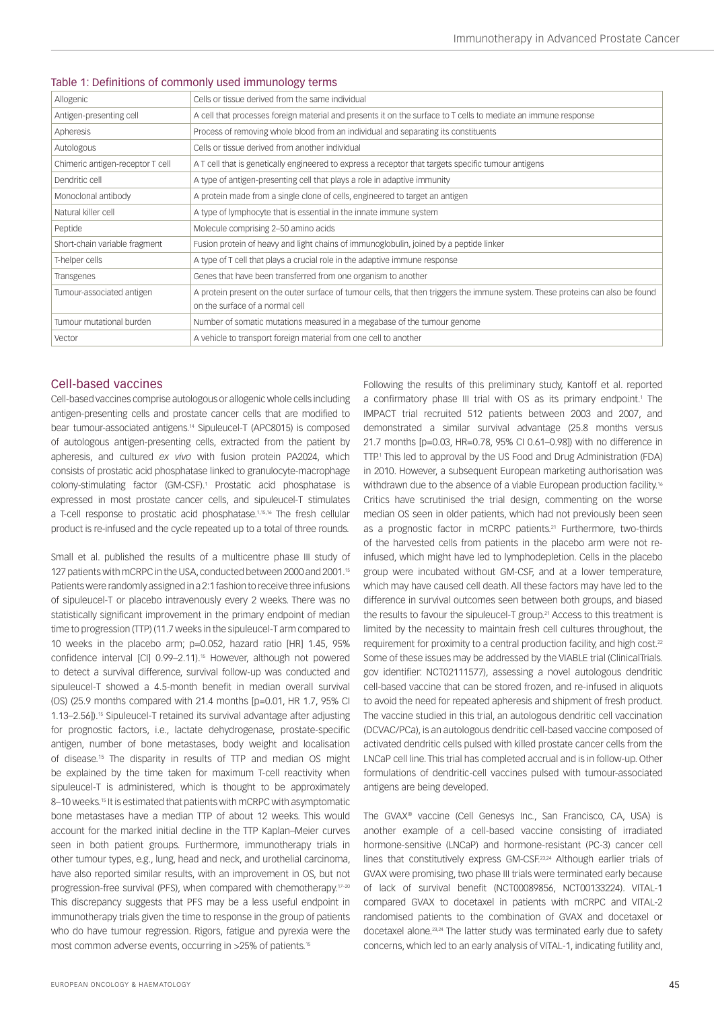| Allogenic                        | Cells or tissue derived from the same individual                                                                               |
|----------------------------------|--------------------------------------------------------------------------------------------------------------------------------|
| Antigen-presenting cell          | A cell that processes foreign material and presents it on the surface to T cells to mediate an immune response                 |
| Apheresis                        | Process of removing whole blood from an individual and separating its constituents                                             |
| Autologous                       | Cells or tissue derived from another individual                                                                                |
| Chimeric antigen-receptor T cell | A T cell that is genetically engineered to express a receptor that targets specific tumour antigens                            |
| Dendritic cell                   | A type of antigen-presenting cell that plays a role in adaptive immunity                                                       |
| Monoclonal antibody              | A protein made from a single clone of cells, engineered to target an antigen                                                   |
| Natural killer cell              | A type of lymphocyte that is essential in the innate immune system                                                             |
| Peptide                          | Molecule comprising 2-50 amino acids                                                                                           |
| Short-chain variable fragment    | Fusion protein of heavy and light chains of immunoglobulin, joined by a peptide linker                                         |
| T-helper cells                   | A type of T cell that plays a crucial role in the adaptive immune response                                                     |
| Transgenes                       | Genes that have been transferred from one organism to another                                                                  |
| Tumour-associated antigen        | A protein present on the outer surface of tumour cells, that then triggers the immune system. These proteins can also be found |
|                                  | on the surface of a normal cell                                                                                                |
| Tumour mutational burden         | Number of somatic mutations measured in a megabase of the tumour genome                                                        |
| Vector                           | A vehicle to transport foreign material from one cell to another                                                               |

#### Table 1: Definitions of commonly used immunology terms

# Cell-based vaccines

Cell-based vaccines comprise autologous or allogenic whole cells including antigen-presenting cells and prostate cancer cells that are modified to bear tumour-associated antigens.14 Sipuleucel-T (APC8015) is composed of autologous antigen-presenting cells, extracted from the patient by apheresis, and cultured *ex vivo* with fusion protein PA2024, which consists of prostatic acid phosphatase linked to granulocyte-macrophage colony-stimulating factor (GM-CSF).1 Prostatic acid phosphatase is expressed in most prostate cancer cells, and sipuleucel-T stimulates a T-cell response to prostatic acid phosphatase.1,15,16 The fresh cellular product is re-infused and the cycle repeated up to a total of three rounds.

Small et al. published the results of a multicentre phase III study of 127 patients with mCRPC in the USA, conducted between 2000 and 2001.15 Patients were randomly assigned in a 2:1 fashion to receive three infusions of sipuleucel-T or placebo intravenously every 2 weeks. There was no statistically significant improvement in the primary endpoint of median time to progression (TTP) (11.7 weeks in the sipuleucel-T arm compared to 10 weeks in the placebo arm; p=0.052, hazard ratio [HR] 1.45, 95% confidence interval [CI] 0.99-2.11).<sup>15</sup> However, although not powered to detect a survival difference, survival follow-up was conducted and sipuleucel-T showed a 4.5-month benefit in median overall survival (OS) (25.9 months compared with 21.4 months [p=0.01, HR 1.7, 95% CI 1.13–2.56]).15 Sipuleucel-T retained its survival advantage after adjusting for prognostic factors, i.e., lactate dehydrogenase, prostate-specific antigen, number of bone metastases, body weight and localisation of disease.15 The disparity in results of TTP and median OS might be explained by the time taken for maximum T-cell reactivity when sipuleucel-T is administered, which is thought to be approximately 8–10 weeks.<sup>15</sup> It is estimated that patients with mCRPC with asymptomatic bone metastases have a median TTP of about 12 weeks. This would account for the marked initial decline in the TTP Kaplan–Meier curves seen in both patient groups. Furthermore, immunotherapy trials in other tumour types, e.g., lung, head and neck, and urothelial carcinoma, have also reported similar results, with an improvement in OS, but not progression-free survival (PFS), when compared with chemotherapy.17–20 This discrepancy suggests that PFS may be a less useful endpoint in immunotherapy trials given the time to response in the group of patients who do have tumour regression. Rigors, fatigue and pyrexia were the most common adverse events, occurring in >25% of patients.15

a confirmatory phase III trial with OS as its primary endpoint.<sup>1</sup> The IMPACT trial recruited 512 patients between 2003 and 2007, and demonstrated a similar survival advantage (25.8 months versus 21.7 months [p=0.03, HR=0.78, 95% CI 0.61–0.98]) with no difference in TTP.1 This led to approval by the US Food and Drug Administration (FDA) in 2010. However, a subsequent European marketing authorisation was withdrawn due to the absence of a viable European production facility.<sup>16</sup> Critics have scrutinised the trial design, commenting on the worse median OS seen in older patients, which had not previously been seen as a prognostic factor in mCRPC patients.<sup>21</sup> Furthermore, two-thirds of the harvested cells from patients in the placebo arm were not reinfused, which might have led to lymphodepletion. Cells in the placebo group were incubated without GM-CSF, and at a lower temperature, which may have caused cell death. All these factors may have led to the difference in survival outcomes seen between both groups, and biased the results to favour the sipuleucel-T group.21 Access to this treatment is limited by the necessity to maintain fresh cell cultures throughout, the requirement for proximity to a central production facility, and high cost.<sup>22</sup> Some of these issues may be addressed by the VIABLE trial (ClinicalTrials. gov identifier: NCT02111577), assessing a novel autologous dendritic cell-based vaccine that can be stored frozen, and re-infused in aliquots to avoid the need for repeated apheresis and shipment of fresh product. The vaccine studied in this trial, an autologous dendritic cell vaccination (DCVAC/PCa), is an autologous dendritic cell-based vaccine composed of activated dendritic cells pulsed with killed prostate cancer cells from the LNCaP cell line. This trial has completed accrual and is in follow-up. Other formulations of dendritic-cell vaccines pulsed with tumour-associated antigens are being developed.

Following the results of this preliminary study, Kantoff et al. reported

The GVAX® vaccine (Cell Genesys Inc., San Francisco, CA, USA) is another example of a cell-based vaccine consisting of irradiated hormone-sensitive (LNCaP) and hormone-resistant (PC-3) cancer cell lines that constitutively express GM-CSF.<sup>23,24</sup> Although earlier trials of GVAX were promising, two phase III trials were terminated early because of lack of survival benefit (NCT00089856, NCT00133224). VITAL-1 compared GVAX to docetaxel in patients with mCRPC and VITAL-2 randomised patients to the combination of GVAX and docetaxel or docetaxel alone.23,24 The latter study was terminated early due to safety concerns, which led to an early analysis of VITAL-1, indicating futility and,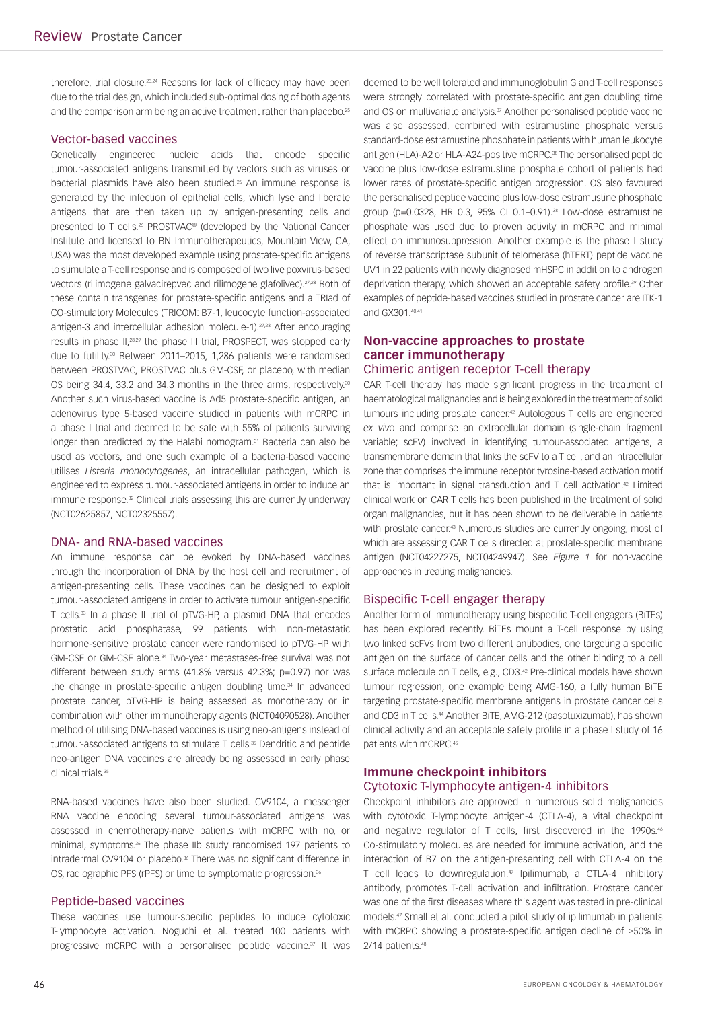therefore, trial closure.<sup>23,24</sup> Reasons for lack of efficacy may have been due to the trial design, which included sub-optimal dosing of both agents and the comparison arm being an active treatment rather than placebo.<sup>25</sup>

## Vector-based vaccines

Genetically engineered nucleic acids that encode specific tumour-associated antigens transmitted by vectors such as viruses or bacterial plasmids have also been studied.<sup>26</sup> An immune response is generated by the infection of epithelial cells, which lyse and liberate antigens that are then taken up by antigen-presenting cells and presented to T cells.<sup>26</sup> PROSTVAC<sup>®</sup> (developed by the National Cancer Institute and licensed to BN Immunotherapeutics, Mountain View, CA, USA) was the most developed example using prostate-specific antigens to stimulate a T-cell response and is composed of two live poxvirus-based vectors (rilimogene galvacirepvec and rilimogene glafolivec).<sup>27,28</sup> Both of these contain transgenes for prostate-specific antigens and a TRIad of CO-stimulatory Molecules (TRICOM: B7-1, leucocyte function-associated antigen-3 and intercellular adhesion molecule-1).<sup>27,28</sup> After encouraging results in phase II,<sup>28,29</sup> the phase III trial, PROSPECT, was stopped early due to futility.30 Between 2011–2015, 1,286 patients were randomised between PROSTVAC, PROSTVAC plus GM-CSF, or placebo, with median OS being 34.4, 33.2 and 34.3 months in the three arms, respectively.<sup>30</sup> Another such virus-based vaccine is Ad5 prostate-specific antigen, an adenovirus type 5-based vaccine studied in patients with mCRPC in a phase I trial and deemed to be safe with 55% of patients surviving longer than predicted by the Halabi nomogram.<sup>31</sup> Bacteria can also be used as vectors, and one such example of a bacteria-based vaccine utilises *Listeria monocytogenes*, an intracellular pathogen, which is engineered to express tumour-associated antigens in order to induce an immune response.<sup>32</sup> Clinical trials assessing this are currently underway (NCT02625857, NCT02325557).

#### DNA- and RNA-based vaccines

An immune response can be evoked by DNA-based vaccines through the incorporation of DNA by the host cell and recruitment of antigen-presenting cells. These vaccines can be designed to exploit tumour-associated antigens in order to activate tumour antigen-specific T cells.33 In a phase II trial of pTVG-HP, a plasmid DNA that encodes prostatic acid phosphatase, 99 patients with non-metastatic hormone-sensitive prostate cancer were randomised to pTVG-HP with GM-CSF or GM-CSF alone.34 Two-year metastases-free survival was not different between study arms (41.8% versus 42.3%; p=0.97) nor was the change in prostate-specific antigen doubling time.34 In advanced prostate cancer, pTVG-HP is being assessed as monotherapy or in combination with other immunotherapy agents (NCT04090528). Another method of utilising DNA-based vaccines is using neo-antigens instead of tumour-associated antigens to stimulate T cells.35 Dendritic and peptide neo-antigen DNA vaccines are already being assessed in early phase clinical trials.35

RNA-based vaccines have also been studied. CV9104, a messenger RNA vaccine encoding several tumour-associated antigens was assessed in chemotherapy-naïve patients with mCRPC with no, or minimal, symptoms.36 The phase IIb study randomised 197 patients to intradermal CV9104 or placebo.<sup>36</sup> There was no significant difference in OS, radiographic PFS (rPFS) or time to symptomatic progression.36

#### Peptide-based vaccines

These vaccines use tumour-specific peptides to induce cytotoxic T-lymphocyte activation. Noguchi et al. treated 100 patients with progressive mCRPC with a personalised peptide vaccine. $37$  It was

deemed to be well tolerated and immunoglobulin G and T-cell responses were strongly correlated with prostate-specific antigen doubling time and OS on multivariate analysis.<sup>37</sup> Another personalised peptide vaccine was also assessed, combined with estramustine phosphate versus standard-dose estramustine phosphate in patients with human leukocyte antigen (HLA)-A2 or HLA-A24-positive mCRPC.38 The personalised peptide vaccine plus low-dose estramustine phosphate cohort of patients had lower rates of prostate-specific antigen progression. OS also favoured the personalised peptide vaccine plus low-dose estramustine phosphate group (p=0.0328, HR 0.3, 95% CI 0.1–0.91).38 Low-dose estramustine phosphate was used due to proven activity in mCRPC and minimal effect on immunosuppression. Another example is the phase I study of reverse transcriptase subunit of telomerase (hTERT) peptide vaccine UV1 in 22 patients with newly diagnosed mHSPC in addition to androgen deprivation therapy, which showed an acceptable safety profile.39 Other examples of peptide-based vaccines studied in prostate cancer are ITK-1 and GX301.40,41

## **Non-vaccine approaches to prostate cancer immunotherapy** Chimeric antigen receptor T-cell therapy

CAR T-cell therapy has made significant progress in the treatment of haematological malignancies and is being explored in the treatment of solid tumours including prostate cancer.<sup>42</sup> Autologous T cells are engineered *ex viv*o and comprise an extracellular domain (single-chain fragment variable; scFV) involved in identifying tumour-associated antigens, a transmembrane domain that links the scFV to a T cell, and an intracellular zone that comprises the immune receptor tyrosine-based activation motif that is important in signal transduction and T cell activation.<sup>42</sup> Limited clinical work on CAR T cells has been published in the treatment of solid organ malignancies, but it has been shown to be deliverable in patients with prostate cancer.<sup>43</sup> Numerous studies are currently ongoing, most of which are assessing CAR T cells directed at prostate-specific membrane antigen (NCT04227275, NCT04249947). See *Figure 1* for non-vaccine approaches in treating malignancies.

#### Bispecific T-cell engager therapy

Another form of immunotherapy using bispecific T-cell engagers (BiTEs) has been explored recently. BiTEs mount a T-cell response by using two linked scFVs from two different antibodies, one targeting a specific antigen on the surface of cancer cells and the other binding to a cell surface molecule on T cells, e.g., CD3.<sup>42</sup> Pre-clinical models have shown tumour regression, one example being AMG-160, a fully human BiTE targeting prostate-specific membrane antigens in prostate cancer cells and CD3 in T cells.<sup>44</sup> Another BiTE, AMG-212 (pasotuxizumab), has shown clinical activity and an acceptable safety profile in a phase I study of 16 patients with mCRPC.45

# **Immune checkpoint inhibitors** Cytotoxic T-lymphocyte antigen-4 inhibitors

Checkpoint inhibitors are approved in numerous solid malignancies with cytotoxic T-lymphocyte antigen-4 (CTLA-4), a vital checkpoint and negative regulator of T cells, first discovered in the 1990s.<sup>46</sup> Co-stimulatory molecules are needed for immune activation, and the interaction of B7 on the antigen-presenting cell with CTLA-4 on the T cell leads to downregulation.47 Ipilimumab, a CTLA-4 inhibitory antibody, promotes T-cell activation and infiltration. Prostate cancer was one of the first diseases where this agent was tested in pre-clinical models.47 Small et al. conducted a pilot study of ipilimumab in patients with mCRPC showing a prostate-specific antigen decline of ≥50% in 2/14 patients.<sup>48</sup>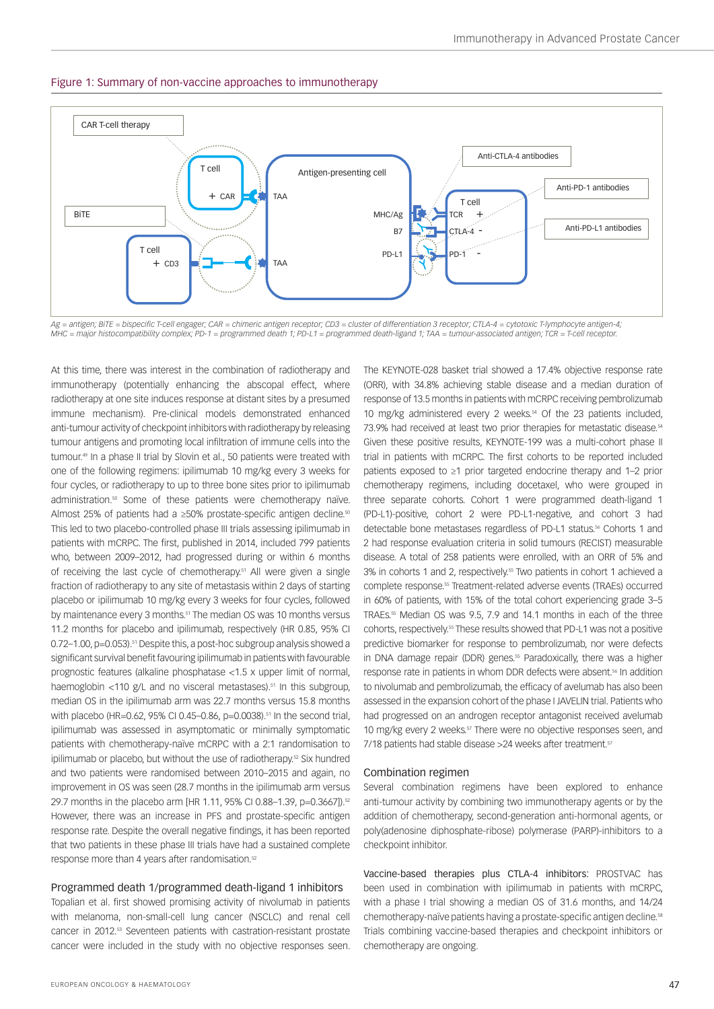

#### Figure 1: Summary of non-vaccine approaches to immunotherapy

*Ag = antigen; BiTE = bispecific T-cell engager; CAR = chimeric antigen receptor; CD3 = cluster of differentiation 3 receptor; CTLA-4 = cytotoxic T-lymphocyte antigen-4; MHC = major histocompatibility complex; PD-1 = programmed death 1; PD-L1 = programmed death-ligand 1; TAA = tumour-associated antigen; TCR = T-cell receptor.*

At this time, there was interest in the combination of radiotherapy and immunotherapy (potentially enhancing the abscopal effect, where radiotherapy at one site induces response at distant sites by a presumed immune mechanism). Pre-clinical models demonstrated enhanced anti-tumour activity of checkpoint inhibitors with radiotherapy by releasing tumour antigens and promoting local infiltration of immune cells into the tumour.49 In a phase II trial by Slovin et al., 50 patients were treated with one of the following regimens: ipilimumab 10 mg/kg every 3 weeks for four cycles, or radiotherapy to up to three bone sites prior to ipilimumab administration.<sup>50</sup> Some of these patients were chemotherapy naïve. Almost 25% of patients had a ≥50% prostate-specific antigen decline.<sup>50</sup> This led to two placebo-controlled phase III trials assessing ipilimumab in patients with mCRPC. The first, published in 2014, included 799 patients who, between 2009–2012, had progressed during or within 6 months of receiving the last cycle of chemotherapy.51 All were given a single fraction of radiotherapy to any site of metastasis within 2 days of starting placebo or ipilimumab 10 mg/kg every 3 weeks for four cycles, followed by maintenance every 3 months.<sup>51</sup> The median OS was 10 months versus 11.2 months for placebo and ipilimumab, respectively (HR 0.85, 95% CI 0.72–1.00, p=0.053).<sup>51</sup> Despite this, a post-hoc subgroup analysis showed a significant survival benefit favouring ipilimumab in patients with favourable prognostic features (alkaline phosphatase <1.5 x upper limit of normal, haemoglobin <110 g/L and no visceral metastases).<sup>51</sup> In this subgroup, median OS in the ipilimumab arm was 22.7 months versus 15.8 months with placebo (HR=0.62, 95% CI 0.45-0.86, p=0.0038).<sup>51</sup> In the second trial, ipilimumab was assessed in asymptomatic or minimally symptomatic patients with chemotherapy-naïve mCRPC with a 2:1 randomisation to ipilimumab or placebo, but without the use of radiotherapy.<sup>52</sup> Six hundred and two patients were randomised between 2010–2015 and again, no improvement in OS was seen (28.7 months in the ipilimumab arm versus 29.7 months in the placebo arm [HR 1.11, 95% CI 0.88-1.39, p=0.3667]).<sup>52</sup> However, there was an increase in PFS and prostate-specific antigen response rate. Despite the overall negative findings, it has been reported that two patients in these phase III trials have had a sustained complete response more than 4 years after randomisation.<sup>52</sup>

#### Programmed death 1/programmed death-ligand 1 inhibitors

Topalian et al. first showed promising activity of nivolumab in patients with melanoma, non-small-cell lung cancer (NSCLC) and renal cell cancer in 2012.53 Seventeen patients with castration-resistant prostate cancer were included in the study with no objective responses seen. The KEYNOTE-028 basket trial showed a 17.4% objective response rate (ORR), with 34.8% achieving stable disease and a median duration of response of 13.5 months in patients with mCRPC receiving pembrolizumab 10 mg/kg administered every 2 weeks.54 Of the 23 patients included, 73.9% had received at least two prior therapies for metastatic disease.54 Given these positive results, KEYNOTE-199 was a multi-cohort phase II trial in patients with mCRPC. The first cohorts to be reported included patients exposed to ≥1 prior targeted endocrine therapy and 1–2 prior chemotherapy regimens, including docetaxel, who were grouped in three separate cohorts. Cohort 1 were programmed death-ligand 1 (PD-L1)-positive, cohort 2 were PD-L1-negative, and cohort 3 had detectable bone metastases regardless of PD-L1 status.<sup>56</sup> Cohorts 1 and 2 had response evaluation criteria in solid tumours (RECIST) measurable disease. A total of 258 patients were enrolled, with an ORR of 5% and 3% in cohorts 1 and 2, respectively.55 Two patients in cohort 1 achieved a complete response<sup>55</sup> Treatment-related adverse events (TRAEs) occurred in 60% of patients, with 15% of the total cohort experiencing grade 3–5 TRAEs.55 Median OS was 9.5, 7.9 and 14.1 months in each of the three cohorts, respectively.55 These results showed that PD-L1 was not a positive predictive biomarker for response to pembrolizumab, nor were defects in DNA damage repair (DDR) genes.<sup>55</sup> Paradoxically, there was a higher response rate in patients in whom DDR defects were absent.<sup>56</sup> In addition to nivolumab and pembrolizumab, the efficacy of avelumab has also been assessed in the expansion cohort of the phase I JAVELIN trial. Patients who had progressed on an androgen receptor antagonist received avelumab 10 mg/kg every 2 weeks.<sup>57</sup> There were no objective responses seen, and 7/18 patients had stable disease >24 weeks after treatment.<sup>57</sup>

#### Combination regimen

Several combination regimens have been explored to enhance anti-tumour activity by combining two immunotherapy agents or by the addition of chemotherapy, second-generation anti-hormonal agents, or poly(adenosine diphosphate-ribose) polymerase (PARP)-inhibitors to a checkpoint inhibitor.

Vaccine-based therapies plus CTLA-4 inhibitors: PROSTVAC has been used in combination with ipilimumab in patients with mCRPC, with a phase I trial showing a median OS of 31.6 months, and 14/24 chemotherapy-naïve patients having a prostate-specific antigen decline.58 Trials combining vaccine-based therapies and checkpoint inhibitors or chemotherapy are ongoing.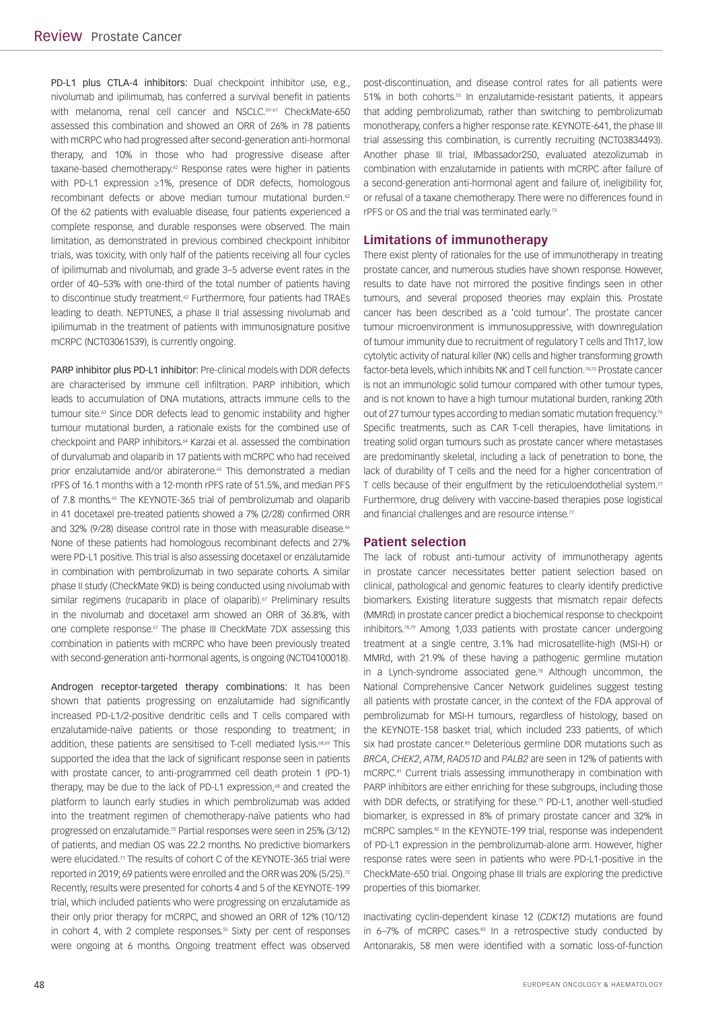PD-L1 plus CTLA-4 inhibitors: Dual checkpoint inhibitor use, e.g., nivolumab and ipilimumab, has conferred a survival benefit in patients with melanoma, renal cell cancer and NSCLC. 59-61 CheckMate-650 assessed this combination and showed an ORR of 26% in 78 patients with mCRPC who had progressed after second-generation anti-hormonal therapy, and 10% in those who had progressive disease after taxane-based chemotherapy.<sup>62</sup> Response rates were higher in patients with PD-L1 expression ≥1%, presence of DDR defects, homologous recombinant defects or above median tumour mutational burden.<sup>62</sup> Of the 62 patients with evaluable disease, four patients experienced a complete response, and durable responses were observed. The main limitation, as demonstrated in previous combined checkpoint inhibitor trials, was toxicity, with only half of the patients receiving all four cycles of ipilimumab and nivolumab, and grade 3–5 adverse event rates in the order of 40–53% with one-third of the total number of patients having to discontinue study treatment.<sup>62</sup> Furthermore, four patients had TRAEs leading to death. NEPTUNES, a phase II trial assessing nivolumab and ipilimumab in the treatment of patients with immunosignature positive mCRPC (NCT03061539), is currently ongoing.

PARP inhibitor plus PD-L1 inhibitor: Pre-clinical models with DDR defects are characterised by immune cell infiltration. PARP inhibition, which leads to accumulation of DNA mutations, attracts immune cells to the tumour site.<sup>63</sup> Since DDR defects lead to genomic instability and higher tumour mutational burden, a rationale exists for the combined use of checkpoint and PARP inhibitors.64 Karzai et al. assessed the combination of durvalumab and olaparib in 17 patients with mCRPC who had received prior enzalutamide and/or abiraterone.<sup>65</sup> This demonstrated a median rPFS of 16.1 months with a 12-month rPFS rate of 51.5%, and median PFS of 7.8 months.<sup>65</sup> The KEYNOTE-365 trial of pembrolizumab and olaparib in 41 docetaxel pre-treated patients showed a 7% (2/28) confirmed ORR and 32% (9/28) disease control rate in those with measurable disease.<sup>66</sup> None of these patients had homologous recombinant defects and 27% were PD-L1 positive. This trial is also assessing docetaxel or enzalutamide in combination with pembrolizumab in two separate cohorts. A similar phase II study (CheckMate 9KD) is being conducted using nivolumab with similar regimens (rucaparib in place of olaparib).<sup>67</sup> Preliminary results in the nivolumab and docetaxel arm showed an ORR of 36.8%, with one complete response.<sup>67</sup> The phase III CheckMate 7DX assessing this combination in patients with mCRPC who have been previously treated with second-generation anti-hormonal agents, is ongoing (NCT04100018).

Androgen receptor-targeted therapy combinations: It has been shown that patients progressing on enzalutamide had significantly increased PD-L1/2-positive dendritic cells and T cells compared with enzalutamide-naïve patients or those responding to treatment; in addition, these patients are sensitised to T-cell mediated lysis.<sup>68,69</sup> This supported the idea that the lack of significant response seen in patients with prostate cancer, to anti-programmed cell death protein 1 (PD-1) therapy, may be due to the lack of PD-L1 expression.<sup>68</sup> and created the platform to launch early studies in which pembrolizumab was added into the treatment regimen of chemotherapy-naïve patients who had progressed on enzalutamide.70 Partial responses were seen in 25% (3/12) of patients, and median OS was 22.2 months. No predictive biomarkers were elucidated.71 The results of cohort C of the KEYNOTE-365 trial were reported in 2019; 69 patients were enrolled and the ORR was 20% (5/25).72 Recently, results were presented for cohorts 4 and 5 of the KEYNOTE-199 trial, which included patients who were progressing on enzalutamide as their only prior therapy for mCRPC, and showed an ORR of 12% (10/12) in cohort 4, with 2 complete responses.<sup>55</sup> Sixty per cent of responses were ongoing at 6 months. Ongoing treatment effect was observed

post-discontinuation, and disease control rates for all patients were 51% in both cohorts.<sup>55</sup> In enzalutamide-resistant patients, it appears that adding pembrolizumab, rather than switching to pembrolizumab monotherapy, confers a higher response rate. KEYNOTE-641, the phase III trial assessing this combination, is currently recruiting (NCT03834493). Another phase III trial, IMbassador250, evaluated atezolizumab in combination with enzalutamide in patients with mCRPC after failure of a second-generation anti-hormonal agent and failure of, ineligibility for, or refusal of a taxane chemotherapy. There were no differences found in rPFS or OS and the trial was terminated early.<sup>73</sup>

#### **Limitations of immunotherapy**

There exist plenty of rationales for the use of immunotherapy in treating prostate cancer, and numerous studies have shown response. However, results to date have not mirrored the positive findings seen in other tumours, and several proposed theories may explain this. Prostate cancer has been described as a 'cold tumour'. The prostate cancer tumour microenvironment is immunosuppressive, with downregulation of tumour immunity due to recruitment of regulatory T cells and Th17, low cytolytic activity of natural killer (NK) cells and higher transforming growth factor-beta levels, which inhibits NK and T cell function.74,75 Prostate cancer is not an immunologic solid tumour compared with other tumour types, and is not known to have a high tumour mutational burden, ranking 20th out of 27 tumour types according to median somatic mutation frequency.76 Specific treatments, such as CAR T-cell therapies, have limitations in treating solid organ tumours such as prostate cancer where metastases are predominantly skeletal, including a lack of penetration to bone, the lack of durability of T cells and the need for a higher concentration of T cells because of their engulfment by the reticuloendothelial system.<sup>77</sup> Furthermore, drug delivery with vaccine-based therapies pose logistical and financial challenges and are resource intense.<sup>77</sup>

#### **Patient selection**

The lack of robust anti-tumour activity of immunotherapy agents in prostate cancer necessitates better patient selection based on clinical, pathological and genomic features to clearly identify predictive biomarkers. Existing literature suggests that mismatch repair defects (MMRd) in prostate cancer predict a biochemical response to checkpoint inhibitors.78,79 Among 1,033 patients with prostate cancer undergoing treatment at a single centre, 3.1% had microsatellite-high (MSI-H) or MMRd, with 21.9% of these having a pathogenic germline mutation in a Lynch-syndrome associated gene.<sup>78</sup> Although uncommon, the National Comprehensive Cancer Network guidelines suggest testing all patients with prostate cancer, in the context of the FDA approval of pembrolizumab for MSI-H tumours, regardless of histology, based on the KEYNOTE-158 basket trial, which included 233 patients, of which six had prostate cancer.<sup>80</sup> Deleterious germline DDR mutations such as *BRCA*, *CHEK2*, *ATM*, *RAD51D* and *PALB2* are seen in 12% of patients with mCRPC.81 Current trials assessing immunotherapy in combination with PARP inhibitors are either enriching for these subgroups, including those with DDR defects, or stratifying for these.<sup>79</sup> PD-L1, another well-studied biomarker, is expressed in 8% of primary prostate cancer and 32% in mCRPC samples.82 In the KEYNOTE-199 trial, response was independent of PD-L1 expression in the pembrolizumab-alone arm. However, higher response rates were seen in patients who were PD-L1-positive in the CheckMate-650 trial. Ongoing phase III trials are exploring the predictive properties of this biomarker.

Inactivating cyclin-dependent kinase 12 (*CDK12*) mutations are found in 6–7% of mCRPC cases.<sup>83</sup> In a retrospective study conducted by Antonarakis, 58 men were identified with a somatic loss-of-function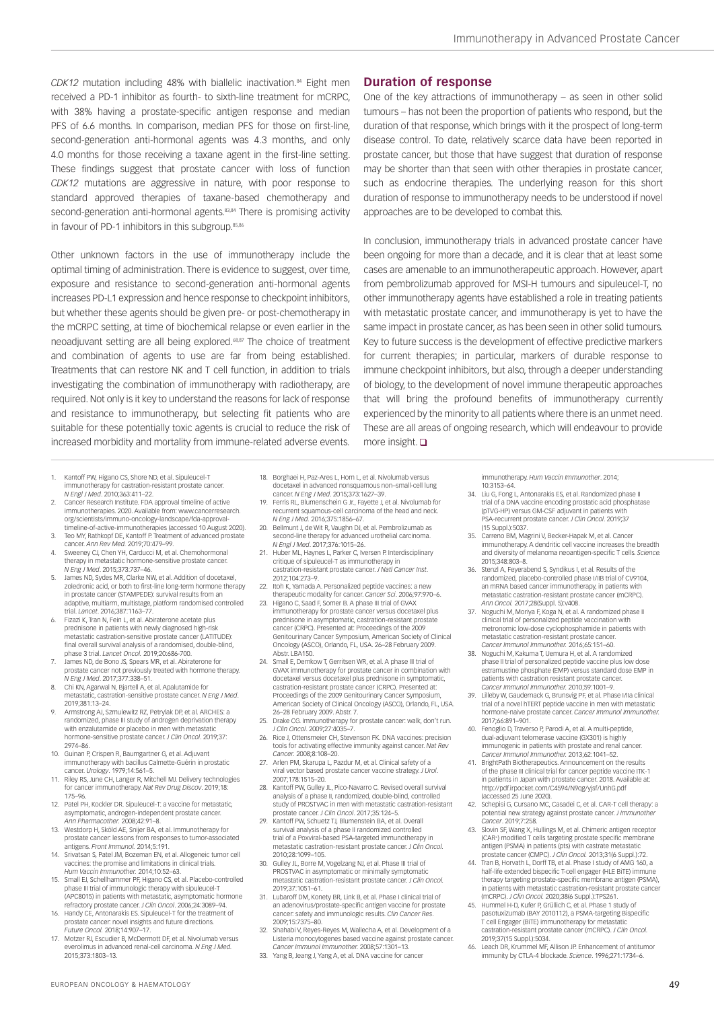*CDK12* mutation including 48% with biallelic inactivation.84 Eight men received a PD-1 inhibitor as fourth- to sixth-line treatment for mCRPC, with 38% having a prostate-specific antigen response and median PFS of 6.6 months. In comparison, median PFS for those on first-line, second-generation anti-hormonal agents was 4.3 months, and only 4.0 months for those receiving a taxane agent in the first-line setting. These findings suggest that prostate cancer with loss of function *CDK12* mutations are aggressive in nature, with poor response to standard approved therapies of taxane-based chemotherapy and second-generation anti-hormonal agents.83,84 There is promising activity in favour of PD-1 inhibitors in this subgroup. 85,86

Other unknown factors in the use of immunotherapy include the optimal timing of administration. There is evidence to suggest, over time, exposure and resistance to second-generation anti-hormonal agents increases PD-L1 expression and hence response to checkpoint inhibitors, but whether these agents should be given pre- or post-chemotherapy in the mCRPC setting, at time of biochemical relapse or even earlier in the neoadjuvant setting are all being explored.68,87 The choice of treatment and combination of agents to use are far from being established. Treatments that can restore NK and T cell function, in addition to trials investigating the combination of immunotherapy with radiotherapy, are required. Not only is it key to understand the reasons for lack of response and resistance to immunotherapy, but selecting fit patients who are suitable for these potentially toxic agents is crucial to reduce the risk of increased morbidity and mortality from immune-related adverse events.

#### **Duration of response**

One of the key attractions of immunotherapy – as seen in other solid tumours – has not been the proportion of patients who respond, but the duration of that response, which brings with it the prospect of long-term disease control. To date, relatively scarce data have been reported in prostate cancer, but those that have suggest that duration of response may be shorter than that seen with other therapies in prostate cancer, such as endocrine therapies. The underlying reason for this short duration of response to immunotherapy needs to be understood if novel approaches are to be developed to combat this.

In conclusion, immunotherapy trials in advanced prostate cancer have been ongoing for more than a decade, and it is clear that at least some cases are amenable to an immunotherapeutic approach. However, apart from pembrolizumab approved for MSI-H tumours and sipuleucel-T, no other immunotherapy agents have established a role in treating patients with metastatic prostate cancer, and immunotherapy is yet to have the same impact in prostate cancer, as has been seen in other solid tumours. Key to future success is the development of effective predictive markers for current therapies; in particular, markers of durable response to immune checkpoint inhibitors, but also, through a deeper understanding of biology, to the development of novel immune therapeutic approaches that will bring the profound benefits of immunotherapy currently experienced by the minority to all patients where there is an unmet need. These are all areas of ongoing research, which will endeavour to provide more insight.  $\square$ 

- 1. Kantoff PW, Higano CS, Shore ND, et al. Sipuleucel-T immunotherapy for castration-resistant prostate cancer. *N Engl J Med*. 2010;363:411–22.
- 2. Cancer Research Institute. FDA approval timeline of active immunotherapies. 2020. Available from: [www.cancerresearch.](https://www.cancerresearch.org/scientists/immuno-oncology-landscape/fda-approval-timeline-of-active-immunotherapies) [org/scientists/immuno-oncology-landscape/fda-approval-](https://www.cancerresearch.org/scientists/immuno-oncology-landscape/fda-approval-timeline-of-active-immunotherapies)
- [timeline-of-active-immunotherapies](https://www.cancerresearch.org/scientists/immuno-oncology-landscape/fda-approval-timeline-of-active-immunotherapies) (accessed 10 August 2020). 3. Teo MY, Rathkopf DE, Kantoff P. Treatment of advanced prostate cancer. *Ann Rev Med.* 2019;70:479–99.
- 4. Sweeney CJ, Chen YH, Carducci M, et al. Chemohormonal therapy in metastatic hormone-sensitive prostate cancer. *N Eng J Med*. 2015;373:737–46.
- 5. James ND, Sydes MR, Clarke NW, et al. Addition of docetaxel, zoledronic acid, or both to first-line long-term hormone therapy in prostate cancer (STAMPEDE): survival results from an adaptive, multiarm, multistage, platform randomised controlled trial. *Lancet*. 2016;387:1163–77.
- 6. Fizazi K, Tran N, Fein L, et al. Abiraterone acetate plus prednisone in patients with newly diagnosed high-risk metastatic castration-sensitive prostate cancer (LATITUDE): final overall survival analysis of a randomised, double-blind, phase 3 trial. *Lancet Oncol.* 2019;20:686-700.
- 7. James ND, de Bono JS, Spears MR, et al. Abiraterone for prostate cancer not previously treated with hormone therapy.
- *N Eng J Med*. 2017;377:338–51. 8. Chi KN, Agarwal N, Bjartell A, et al. Apalutamide for metastatic, castration-sensitive prostate cancer. *N Eng J Med*. 2019;381:13–24.
- 9. Armstrong AJ, Szmulewitz RZ, Petrylak DP, et al. ARCHES: a randomized, phase III study of androgen deprivation therapy with enzalutamide or placebo in men with metastatic hormone-sensitive prostate cancer. *J Clin Oncol*. 2019;37: 2974–86.
- 10. Guinan P, Crispen R, Baumgartner G, et al. Adjuvant immunotherapy with bacillus Calmette-Guérin in prostatic cancer. *Urology*. 1979;14:561–5.
- 11. Riley RS, June CH, Langer R, Mitchell MJ. Delivery technologies for cancer immunotherapy. *Nat Rev Drug Discov*. 2019;18: 175–96.
- 12. Patel PH, Kockler DR. Sipuleucel-T: a vaccine for metastatic, asymptomatic, androgen-independent prostate cancer. *Ann Pharmacother.* 2008;42:91–8.
- 13. Westdorp H, Sköld AE, Snijer BA, et al. Immunotherapy for prostate cancer: lessons from responses to tumor-associated
- antigens. *Front Immunol.* 2014;5:191. 14. Srivatsan S, Patel JM, Bozeman EN, et al. Allogeneic tumor cell vaccines: the promise and limitations in clinical trials. *Hum Vaccin Immunother.* 2014;10:52–63.
- 15. Small EJ, Schellhammer PF, Higano CS, et al. Placebo-controlled phase III trial of immunologic therapy with sipuleucel-T (APC8015) in patients with metastatic, asymptomatic hormone refractory prostate cancer. *J Clin Oncol*. 2006;24:3089–94.
- 16. Handy CE, Antonarakis ES. Sipuleucel-T for the treatment of prostate cancer: novel insights and future directions. *Future Oncol.* 2018;14:907–17.
- 17. Motzer RJ, Escudier B, McDermott DF, et al. Nivolumab versus everolimus in advanced renal-cell carcinoma. *N Eng J Med.* 2015;373:1803–13.
- 18. Borghaei H, Paz-Ares L, Horn L, et al. Nivolumab versus docetaxel in advanced nonsquamous non–small-cell lung cancer. *N Eng J Med*. 2015;373:1627–39.
- 19. Ferris RL, Blumenschein G Jr., Fayette J, et al. Nivolumab for recurrent squamous-cell carcinoma of the head and neck. *N Eng J Med.* 2016;375:1856–67.
- 20. Bellmunt J, de Wit R, Vaughn DJ, et al. Pembrolizumab as second-line therapy for advanced urothelial carcinoma.
- *N Engl J Med*. 2017;376:1015–26. 21. Huber ML, Haynes L, Parker C, Iversen P. Interdisciplinary critique of sipuleucel-T as immunotherapy in castration-resistant prostate cancer. *J Natl Cancer Inst*. 2012;104:273–9.
- 22. Itoh K, Yamada A. Personalized peptide vaccines: a new therapeutic modality for cancer. *Cancer Sci*. 2006;97:970–6.
- 23. Higano C, Saad F, Somer B. A phase III trial of GVAX immunotherapy for prostate cancer versus docetaxel plus prednisone in asymptomatic, castration-resistant prostate cancer (CRPC). Presented at: Proceedings of the 2009 Genitourinary Cancer Symposium, American Society of Clinical Oncology (ASCO), Orlando, FL, USA. 26–28 February 2009. Abstr. LBA150.
- Small E, Demkow T, Gerritsen WR, et al. A phase III trial of GVAX immunotherapy for prostate cancer in combination with docetaxel versus docetaxel plus prednisone in symptomatic, castration-resistant prostate cancer (CRPC). Presented at: Proceedings of the 2009 Genitourinary Cancer Symposium, American Society of Clinical Oncology (ASCO), Orlando, FL, USA. 26–28 February 2009. Abstr. 7.
- 25. Drake CG. Immunotherapy for prostate cancer: walk, don't run. *J Clin Oncol*. 2009;27:4035–7.
- 26. Rice J, Ottensmeier CH, Stevenson FK. DNA vaccines: precision tools for activating effective immunity against cancer. *Nat Rev Cancer.* 2008;8:108–20.
- Arlen PM, Skarupa L, Pazdur M, et al. Clinical safety of a viral vector based prostate cancer vaccine strategy. *J Urol*. 2007;178:1515–20.
- 28. Kantoff PW, Gulley JL, Pico-Navarro C. Revised overall survival analysis of a phase II, randomized, double-blind, controlled study of PROSTVAC in men with metastatic castration-resistant prostate cancer. *J Clin Oncol*. 2017;35:124–5. 29. Kantoff PW, Schuetz TJ, Blumenstein BA, et al. Overall
- survival analysis of a phase II randomized controlled trial of a Poxviral-based PSA-targeted immunotherapy in metastatic castration-resistant prostate cancer. *J Clin Oncol.* 2010;28:1099–105.
- 30. Gulley JL, Borre M, Vogelzang NJ, et al. Phase III trial of PROSTVAC in asymptomatic or minimally symptomatic metastatic castration-resistant prostate cancer. *J Clin Oncol.* 2019;37:1051–61.
- 31. Lubaroff DM, Konety BR, Link B, et al. Phase I clinical trial of an adenovirus/prostate-specific antigen vaccine for prostate cancer: safety and immunologic results. *Clin Cancer Res*. 2009;15:7375–80.
- 32. Shahabi V, Reyes-Reyes M, Wallecha A, et al. Development of a Listeria monocytogenes based vaccine against prostate cancer.
- *Cancer Immunol Immunother.* 2008;57:1301–13. 33. Yang B, Jeang J, Yang A, et al. DNA vaccine for cancer

immunotherapy. *Hum Vaccin Immunother*. 2014; 10:3153–64.

- 34. Liu G, Fong L, Antonarakis ES, et al. Randomized phase I trial of a DNA vaccine encoding prostatic acid phosphatase (pTVG-HP) versus GM-CSF adjuvant in patients with PSA-recurrent prostate cancer. *J Clin Oncol*. 2019;37 (15 Suppl.):5037.
- 35. Carreno BM, Magrini V, Becker-Hapak M, et al. Cancer immunotherapy. A dendritic cell vaccine increases the breadth and diversity of melanoma neoantigen-specific T cells. *Science.*  2015;348:803–8.
- 36. Stenzl A, Feyerabend S, Syndikus I, et al. Results of the randomized, placebo-controlled phase I/IIB trial of CV9104, an mRNA based cancer immunotherapy, in patients with metastatic castration-resistant prostate cancer (mCRPC). *Ann Oncol.* 2017;28(Suppl. 5):v408.
- 37. Noguchi M, Moriya F, Koga N, et al. A randomized phase II clinical trial of personalized peptide vaccination with metronomic low-dose cyclophosphamide in patients with metastatic castration-resistant prostate cancer. *Cancer Immunol Immunother.* 2016;65:151–60.
- 38. Noguchi M, Kakuma T, Uemura H, et al. A randomized phase II trial of personalized peptide vaccine plus low dose estramustine phosphate (EMP) versus standard dose EMP in patients with castration resistant prostate cancer. *Cancer Immunol Immunother.* 2010;59:1001–9.
- 39. Lilleby W, Gaudernack G, Brunsvig PF, et al. Phase I/IIa clinical trial of a novel hTERT peptide vaccine in men with metastatic hormone-naive prostate cancer. *Cancer Immunol Immunother.*  2017;66:891–901.
- 40. Fenoglio D, Traverso P, Parodi A, et al. A multi-peptide, dual-adjuvant telomerase vaccine (GX301) is highly immunogenic in patients with prostate and renal cancer. *Cancer Immunol Immunother.* 2013;62:1041–52.
- 41. BrightPath Biotherapeutics. Announcement on the results of the phase III clinical trial for cancer peptide vaccine ITK-1 in patients in Japan with prostate cancer. 2018. Available at: <http://pdf.irpocket.com/C4594/N9qg/yjsf/UnhG.pdf>
- (accessed 25 June 2020). 42. Schepisi G, Cursano MC, Casadei C, et al. CAR-T cell therapy: a potential new strategy against prostate cancer. *J Immunother Cancer*. 2019;7:258.
- 43. Slovin SF, Wang X, Hullings M, et al. Chimeric antigen receptor (CAR+) modified T cells targeting prostate specific membrane antigen (PSMA) in patients (pts) with castrate metastatic prostate cancer (CMPC). *J Clin Oncol.* 2013;31(6 Suppl.):72.
- 44. Tran B, Horvath L, Dorff TB, et al. Phase I study of AMG 160, a half-life extended bispecific T-cell engager (HLE BiTE) immune therapy targeting prostate-specific membrane antigen (PSMA), in patients with metastatic castration-resistant prostate cancer
- (mCRPC). *J Clin Oncol.* 2020;38(6 Suppl.):TPS261. 45. Hummel H-D, Kufer P, Grüllich C, et al. Phase 1 study of pasotuxizumab (BAY 2010112), a PSMA-targeting Bispecific T cell Engager (BiTE) immunotherapy for metastatic castration-resistant prostate cancer (mCRPC). *J Clin Oncol.* 2019;37(15 Suppl.):5034.
- 46. Leach DR, Krummel MF, Allison JP. Enhancement of antitumor immunity by CTLA-4 blockade. *Science*. 1996;271:1734–6.